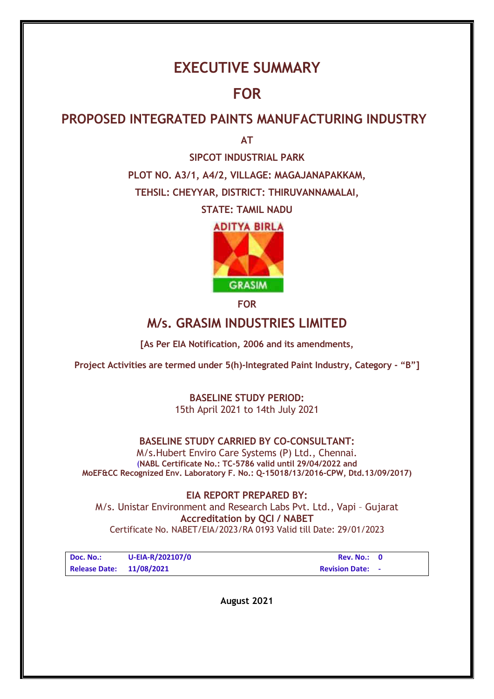# **EXECUTIVE SUMMARY**

# **FOR**

# **PROPOSED INTEGRATED PAINTS MANUFACTURING INDUSTRY**

**AT**

**SIPCOT INDUSTRIAL PARK PLOT NO. A3/1, A4/2, VILLAGE: MAGAJANAPAKKAM, TEHSIL: CHEYYAR, DISTRICT: THIRUVANNAMALAI,** 

**STATE: TAMIL NADU** 





**FOR**

# **M/s. GRASIM INDUSTRIES LIMITED**

**[As Per EIA Notification, 2006 and its amendments,** 

**Project Activities are termed under 5(h)-Integrated Paint Industry, Category - "B"]**

# **BASELINE STUDY PERIOD:**  15th April 2021 to 14th July 2021

# **BASELINE STUDY CARRIED BY CO-CONSULTANT:**

M/s.Hubert Enviro Care Systems (P) Ltd., Chennai. (**NABL Certificate No.: TC-5786 valid until 29/04/2022 and MoEF&CC Recognized Env. Laboratory F. No.: Q-15018/13/2016-CPW, Dtd.13/09/2017)** 

**EIA REPORT PREPARED BY:**  M/s. Unistar Environment and Research Labs Pvt. Ltd., Vapi – Gujarat **Accreditation by QCI / NABET**  Certificate No. NABET/EIA/2023/RA 0193 Valid till Date: 29/01/2023

| Doc. No.:                | U-EIA-R/202107/0 | Rev. No.:               |  |
|--------------------------|------------------|-------------------------|--|
| Release Date: 11/08/2021 |                  | <b>Revision Date: -</b> |  |

**August 2021**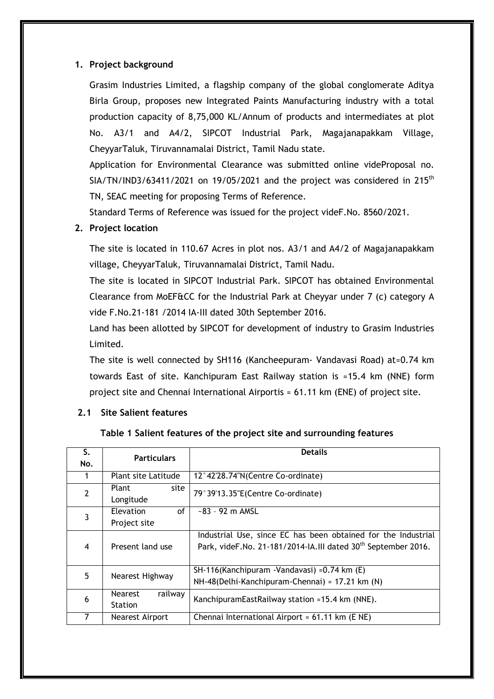#### **1. Project background**

Grasim Industries Limited, a flagship company of the global conglomerate Aditya Birla Group, proposes new Integrated Paints Manufacturing industry with a total production capacity of 8,75,000 KL/Annum of products and intermediates at plot No. A3/1 and A4/2, SIPCOT Industrial Park, Magajanapakkam Village, CheyyarTaluk, Tiruvannamalai District, Tamil Nadu state.

Application for Environmental Clearance was submitted online videProposal no.  $SIA/TN/IND3/63411/2021$  on 19/05/2021 and the project was considered in 215<sup>th</sup> TN, SEAC meeting for proposing Terms of Reference.

Standard Terms of Reference was issued for the project videF.No. 8560/2021.

#### **2. Project location**

The site is located in 110.67 Acres in plot nos. A3/1 and A4/2 of Magajanapakkam village, CheyyarTaluk, Tiruvannamalai District, Tamil Nadu.

The site is located in SIPCOT Industrial Park. SIPCOT has obtained Environmental Clearance from MoEF&CC for the Industrial Park at Cheyyar under 7 (c) category A vide F.No.21-181 /2014 IA-III dated 30th September 2016.

Land has been allotted by SIPCOT for development of industry to Grasim Industries Limited.

The site is well connected by SH116 (Kancheepuram- Vandavasi Road) at≈0.74 km towards East of site. Kanchipuram East Railway station is ≈15.4 km (NNE) form project site and Chennai International Airportis ≈ 61.11 km (ENE) of project site.

#### **2.1 Site Salient features**

#### **Table 1 Salient features of the project site and surrounding features**

| S.             | <b>Particulars</b>                | <b>Details</b>                                                            |  |  |  |
|----------------|-----------------------------------|---------------------------------------------------------------------------|--|--|--|
| No.            |                                   |                                                                           |  |  |  |
|                | Plant site Latitude               | 12°42'28.74"N(Centre Co-ordinate)                                         |  |  |  |
| $\overline{2}$ | Plant<br>site                     | 79°39'13.35"E(Centre Co-ordinate)                                         |  |  |  |
|                | Longitude                         |                                                                           |  |  |  |
| 3              | <b>Elevation</b><br><sub>of</sub> | $-83 - 92$ m AMSL                                                         |  |  |  |
|                | Project site                      |                                                                           |  |  |  |
|                |                                   | Industrial Use, since EC has been obtained for the Industrial             |  |  |  |
| 4              | Present land use                  | Park, videF.No. 21-181/2014-IA.III dated 30 <sup>th</sup> September 2016. |  |  |  |
|                |                                   |                                                                           |  |  |  |
| 5              | Nearest Highway                   | SH-116(Kanchipuram - Vandavasi) $\approx$ 0.74 km (E)                     |  |  |  |
|                |                                   | NH-48(Delhi-Kanchipuram-Chennai) $\approx$ 17.21 km (N)                   |  |  |  |
| 6              | railway<br><b>Nearest</b>         | KanchipuramEastRailway station ≈15.4 km (NNE).                            |  |  |  |
|                | <b>Station</b>                    |                                                                           |  |  |  |
|                | Nearest Airport                   | Chennai International Airport $\approx$ 61.11 km (E NE)                   |  |  |  |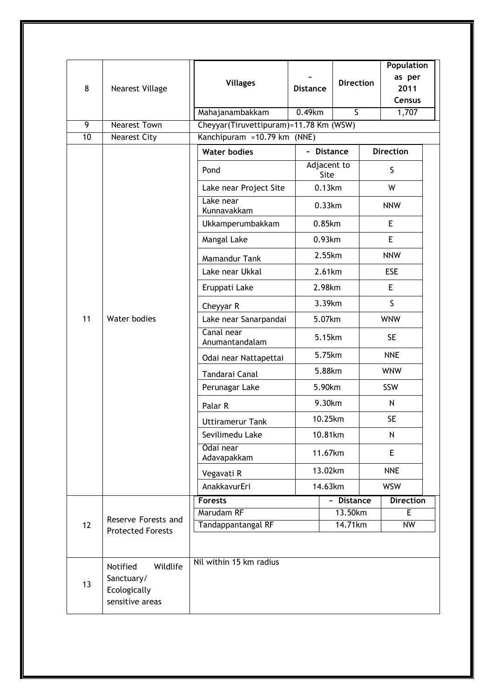| 8       | <b>Nearest Village</b>                                                | <b>Villages</b>                                                       | <b>Distance</b> |             | <b>Direction</b>                  | Population<br>as per<br>2011<br><b>Census</b> |  |
|---------|-----------------------------------------------------------------------|-----------------------------------------------------------------------|-----------------|-------------|-----------------------------------|-----------------------------------------------|--|
|         |                                                                       | Mahajanambakkam                                                       | 0.49km          |             | $\overline{\mathsf{S}}$           | 1,707                                         |  |
| 9<br>10 | <b>Nearest Town</b><br><b>Nearest City</b>                            | Cheyyar(Tiruvettipuram)≈11.78 Km (WSW)<br>Kanchipuram ≈10.79 km (NNE) |                 |             |                                   |                                               |  |
|         |                                                                       | <b>Water bodies</b>                                                   |                 | ~ Distance  |                                   | <b>Direction</b>                              |  |
|         |                                                                       |                                                                       |                 | Adjacent to |                                   |                                               |  |
|         |                                                                       | Pond                                                                  |                 | Site        |                                   | S                                             |  |
|         |                                                                       | Lake near Project Site                                                |                 | 0.13km      |                                   | W                                             |  |
|         |                                                                       | Lake near<br>Kunnavakkam                                              |                 | 0.33km      |                                   | <b>NNW</b>                                    |  |
|         |                                                                       | Ukkamperumbakkam                                                      |                 | 0.85km      |                                   | E                                             |  |
|         |                                                                       | Mangal Lake                                                           |                 | 0.93km      |                                   | E.                                            |  |
|         |                                                                       | <b>Mamandur Tank</b>                                                  |                 | 2.55km      |                                   | <b>NNW</b>                                    |  |
|         |                                                                       | Lake near Ukkal                                                       |                 | 2.61km      |                                   | <b>ESE</b>                                    |  |
|         |                                                                       | Eruppati Lake                                                         |                 | 2.98km      |                                   | E                                             |  |
|         |                                                                       | Cheyyar R                                                             |                 | 3.39km      |                                   | S.                                            |  |
| 11      | Water bodies                                                          | Lake near Sanarpandai                                                 | 5.07km          |             |                                   | <b>WNW</b>                                    |  |
|         |                                                                       | Canal near<br>Anumantandalam                                          |                 | 5.15km      |                                   | <b>SE</b>                                     |  |
|         |                                                                       | Odai near Nattapettai                                                 |                 | 5.75km      |                                   | <b>NNE</b>                                    |  |
|         |                                                                       | Tandarai Canal                                                        |                 | 5.88km      |                                   | <b>WNW</b>                                    |  |
|         |                                                                       | Perunagar Lake                                                        |                 | 5.90km      |                                   | SSW                                           |  |
|         |                                                                       | Palar R                                                               |                 | 9.30km      |                                   | N                                             |  |
|         |                                                                       | <b>Uttiramerur Tank</b>                                               |                 | 10.25km     |                                   | <b>SE</b>                                     |  |
|         |                                                                       | Sevilimedu Lake                                                       |                 | 10.81km     |                                   | N                                             |  |
|         |                                                                       | Odai near<br>Adavapakkam                                              |                 | 11.67km     |                                   | E                                             |  |
|         |                                                                       | Vegavati R                                                            | 13.02km         |             |                                   | <b>NNE</b>                                    |  |
|         |                                                                       | AnakkavurEri                                                          |                 | 14.63km     |                                   | <b>WSW</b>                                    |  |
|         |                                                                       | <b>Forests</b>                                                        |                 |             | $\overline{\phantom{a}}$ Distance | <b>Direction</b>                              |  |
|         | Reserve Forests and                                                   | Marudam RF                                                            |                 |             | 13.50km                           | E                                             |  |
| 12      | <b>Protected Forests</b>                                              | <b>Tandappantangal RF</b>                                             |                 |             | 14.71km                           | <b>NW</b>                                     |  |
|         |                                                                       |                                                                       |                 |             |                                   |                                               |  |
| 13      | Notified<br>Wildlife<br>Sanctuary/<br>Ecologically<br>sensitive areas | Nil within 15 km radius                                               |                 |             |                                   |                                               |  |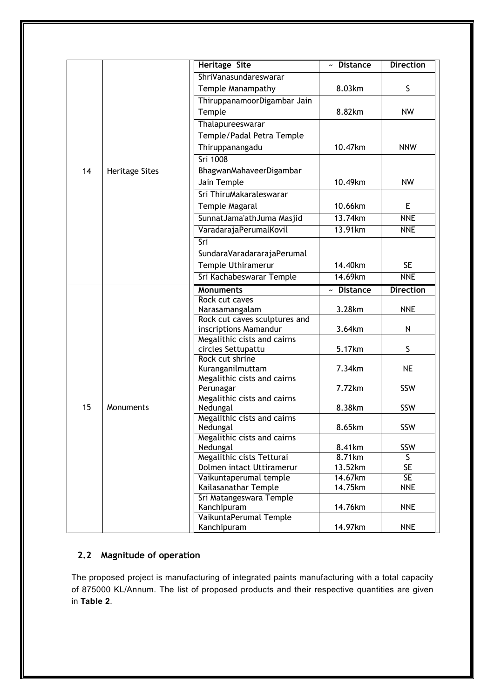|    |                       | <b>Heritage Site</b>                              | $\overline{z}$ Distance   | <b>Direction</b>        |
|----|-----------------------|---------------------------------------------------|---------------------------|-------------------------|
|    |                       | ShriVanasundareswarar                             |                           |                         |
|    |                       | Temple Manampathy                                 | 8.03km                    | S                       |
|    |                       | ThiruppanamoorDigambar Jain                       |                           |                         |
|    |                       | Temple                                            | 8.82km                    | <b>NW</b>               |
|    |                       | Thalapureeswarar                                  |                           |                         |
|    |                       | Temple/Padal Petra Temple                         |                           |                         |
|    |                       | Thiruppanangadu                                   | 10.47km                   | <b>NNW</b>              |
|    |                       | <b>Sri 1008</b>                                   |                           |                         |
| 14 |                       | BhagwanMahaveerDigambar                           |                           |                         |
|    | <b>Heritage Sites</b> | Jain Temple                                       | 10.49km                   | <b>NW</b>               |
|    |                       | Sri ThiruMakaraleswarar                           |                           |                         |
|    |                       |                                                   |                           |                         |
|    |                       | Temple Magaral                                    | 10.66km                   | E                       |
|    |                       | SunnatJama'athJuma Masjid                         | 13.74km                   | <b>NNE</b>              |
|    |                       | VaradarajaPerumalKovil                            | 13.91km                   | <b>NNE</b>              |
|    |                       | Sri                                               |                           |                         |
|    |                       | SundaraVaradararajaPerumal                        |                           |                         |
|    |                       | Temple Uthiramerur                                | 14.40km                   | <b>SE</b>               |
|    |                       | Sri Kachabeswarar Temple                          | 14.69km                   | <b>NNE</b>              |
|    |                       | <b>Monuments</b>                                  | <b>Distance</b><br>$\sim$ | <b>Direction</b>        |
|    |                       | Rock cut caves                                    |                           |                         |
|    |                       | Narasamangalam                                    | 3.28km                    | <b>NNE</b>              |
|    |                       | Rock cut caves sculptures and                     |                           |                         |
|    |                       | inscriptions Mamandur                             | 3.64km                    | N                       |
|    |                       | Megalithic cists and cairns<br>circles Settupattu | 5.17km                    | S                       |
|    |                       | Rock cut shrine                                   |                           |                         |
|    |                       | Kuranganilmuttam                                  | 7.34km                    | <b>NE</b>               |
|    |                       | Megalithic cists and cairns                       |                           |                         |
|    |                       | Perunagar                                         | 7.72km                    | SSW                     |
|    |                       | Megalithic cists and cairns                       |                           |                         |
| 15 | Monuments             | Nedungal                                          | 8.38km                    | SSW                     |
|    |                       | Megalithic cists and cairns                       |                           |                         |
|    |                       | Nedungal<br>Megalithic cists and cairns           | 8.65km                    | SSW                     |
|    |                       | Nedungal                                          | 8.41km                    | SSW                     |
|    |                       | Megalithic cists Tetturai                         | 8.71km                    | $\overline{\mathsf{S}}$ |
|    |                       | Dolmen intact Uttiramerur                         | 13.52km                   | SE                      |
|    |                       | Vaikuntaperumal temple                            | 14.67km                   | SE                      |
|    |                       | Kailasanathar Temple                              | 14.75km                   | <b>NNE</b>              |
|    |                       | Sri Matangeswara Temple                           |                           |                         |
|    |                       | Kanchipuram                                       | 14.76km                   | <b>NNE</b>              |
|    |                       | VaikuntaPerumal Temple                            |                           |                         |
|    |                       | Kanchipuram                                       | 14.97km                   | <b>NNE</b>              |

# **2.2 Magnitude of operation**

The proposed project is manufacturing of integrated paints manufacturing with a total capacity of 875000 KL/Annum. The list of proposed products and their respective quantities are given in **Table 2**.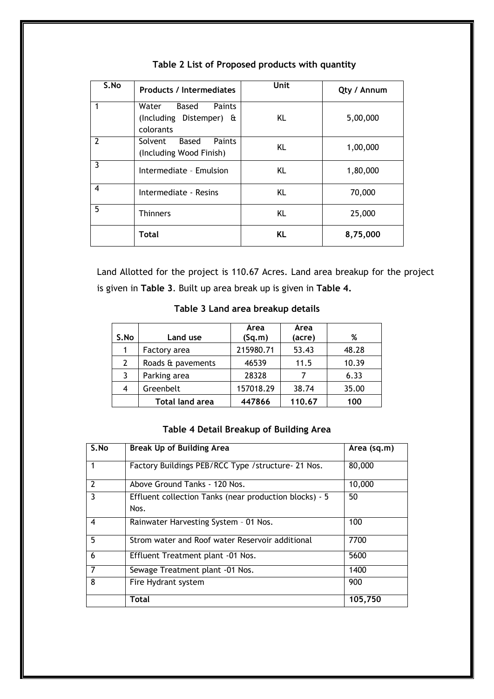| S.No | <b>Products / Intermediates</b>                                  | Unit | Qty / Annum |
|------|------------------------------------------------------------------|------|-------------|
|      | Paints<br>Based<br>Water<br>(Including Distemper) &<br>colorants | KL   | 5,00,000    |
| 2    | Solvent Based<br>Paints<br>(Including Wood Finish)               | KL   | 1,00,000    |
| 3    | Intermediate - Emulsion                                          | KL   | 1,80,000    |
| 4    | Intermediate - Resins                                            | KL   | 70,000      |
| 5    | <b>Thinners</b>                                                  | KL   | 25,000      |
|      | Total                                                            | KL.  | 8,75,000    |

# **Table 2 List of Proposed products with quantity**

Land Allotted for the project is 110.67 Acres. Land area breakup for the project is given in **Table 3**. Built up area break up is given in **Table 4.**

| S.No | Land use               | Area<br>(Sq.m) | Area<br>(acre) | %     |
|------|------------------------|----------------|----------------|-------|
|      | Factory area           | 215980.71      | 53.43          | 48.28 |
| 2    | Roads & pavements      | 46539          | 11.5           | 10.39 |
| 3    | Parking area           | 28328          |                | 6.33  |
| 4    | Greenbelt              | 157018.29      | 38.74          | 35.00 |
|      | <b>Total land area</b> | 447866         | 110.67         | 100   |

# **Table 3 Land area breakup details**

# **Table 4 Detail Breakup of Building Area**

| S.No           | <b>Break Up of Building Area</b>                               | Area (sq.m) |
|----------------|----------------------------------------------------------------|-------------|
| 1              | Factory Buildings PEB/RCC Type /structure- 21 Nos.             | 80,000      |
| $\overline{2}$ | Above Ground Tanks - 120 Nos.                                  | 10,000      |
| 3              | Effluent collection Tanks (near production blocks) - 5<br>Nos. | 50          |
| 4              | Rainwater Harvesting System - 01 Nos.                          | 100         |
| 5              | Strom water and Roof water Reservoir additional                | 7700        |
| 6              | Effluent Treatment plant -01 Nos.                              | 5600        |
| 7              | Sewage Treatment plant -01 Nos.                                | 1400        |
| 8              | Fire Hydrant system                                            | 900         |
|                | <b>Total</b>                                                   | 105,750     |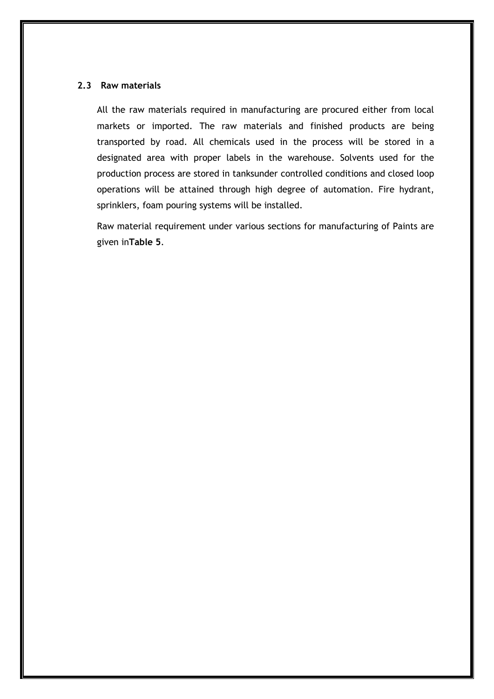#### **2.3 Raw materials**

All the raw materials required in manufacturing are procured either from local markets or imported. The raw materials and finished products are being transported by road. All chemicals used in the process will be stored in a designated area with proper labels in the warehouse. Solvents used for the production process are stored in tanksunder controlled conditions and closed loop operations will be attained through high degree of automation. Fire hydrant, sprinklers, foam pouring systems will be installed.

Raw material requirement under various sections for manufacturing of Paints are given in**Table 5**.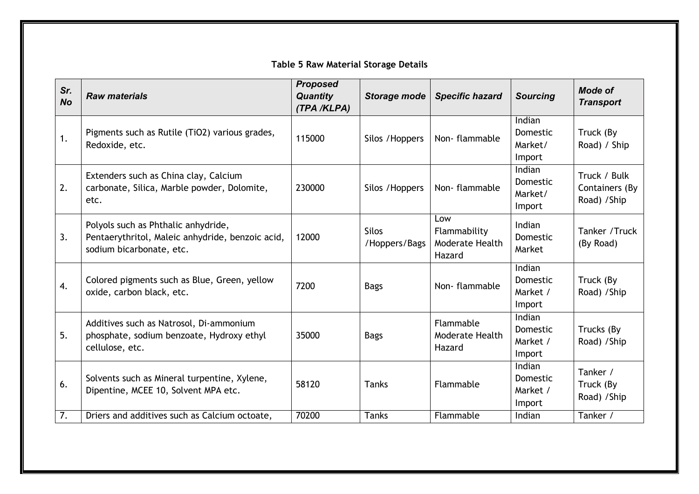# **Table 5 Raw Material Storage Details**

| Sr.<br><b>No</b> | <b>Raw materials</b>                                                                                                | <b>Proposed</b><br><b>Quantity</b><br>(TPA /KLPA) | Storage mode                  | <b>Specific hazard</b>                           | <b>Sourcing</b>                          | <b>Mode of</b><br><b>Transport</b>             |
|------------------|---------------------------------------------------------------------------------------------------------------------|---------------------------------------------------|-------------------------------|--------------------------------------------------|------------------------------------------|------------------------------------------------|
| 1.               | Pigments such as Rutile (TiO2) various grades,<br>Redoxide, etc.                                                    | 115000                                            | Silos / Hoppers               | Non-flammable                                    | Indian<br>Domestic<br>Market/<br>Import  | Truck (By<br>Road) / Ship                      |
| 2.               | Extenders such as China clay, Calcium<br>carbonate, Silica, Marble powder, Dolomite,<br>etc.                        | 230000                                            | Silos / Hoppers               | Non-flammable                                    | Indian<br>Domestic<br>Market/<br>Import  | Truck / Bulk<br>Containers (By<br>Road) / Ship |
| 3.               | Polyols such as Phthalic anhydride,<br>Pentaerythritol, Maleic anhydride, benzoic acid,<br>sodium bicarbonate, etc. | 12000                                             | <b>Silos</b><br>/Hoppers/Bags | Low<br>Flammability<br>Moderate Health<br>Hazard | Indian<br><b>Domestic</b><br>Market      | Tanker / Truck<br>(By Road)                    |
| 4.               | Colored pigments such as Blue, Green, yellow<br>oxide, carbon black, etc.                                           | 7200                                              | <b>Bags</b>                   | Non-flammable                                    | Indian<br>Domestic<br>Market /<br>Import | Truck (By<br>Road) / Ship                      |
| 5.               | Additives such as Natrosol, Di-ammonium<br>phosphate, sodium benzoate, Hydroxy ethyl<br>cellulose, etc.             | 35000                                             | <b>Bags</b>                   | Flammable<br>Moderate Health<br>Hazard           | Indian<br>Domestic<br>Market /<br>Import | Trucks (By<br>Road) / Ship                     |
| 6.               | Solvents such as Mineral turpentine, Xylene,<br>Dipentine, MCEE 10, Solvent MPA etc.                                | 58120                                             | <b>Tanks</b>                  | Flammable                                        | Indian<br>Domestic<br>Market /<br>Import | Tanker /<br>Truck (By<br>Road) / Ship          |
| 7.               | Driers and additives such as Calcium octoate,                                                                       | 70200                                             | <b>Tanks</b>                  | Flammable                                        | Indian                                   | Tanker /                                       |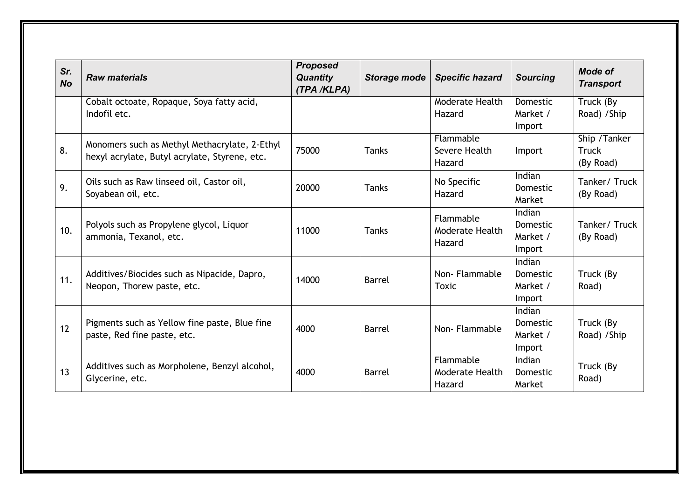| Sr.<br><b>No</b> | <b>Raw materials</b>                                                                           | <b>Proposed</b><br><b>Quantity</b><br>(TPA /KLPA) | Storage mode  | <b>Specific hazard</b>                 | <b>Sourcing</b>                                 | <b>Mode of</b><br><b>Transport</b>         |
|------------------|------------------------------------------------------------------------------------------------|---------------------------------------------------|---------------|----------------------------------------|-------------------------------------------------|--------------------------------------------|
|                  | Cobalt octoate, Ropaque, Soya fatty acid,<br>Indofil etc.                                      |                                                   |               | Moderate Health<br>Hazard              | Domestic<br>Market /<br>Import                  | Truck (By<br>Road) / Ship                  |
| 8.               | Monomers such as Methyl Methacrylate, 2-Ethyl<br>hexyl acrylate, Butyl acrylate, Styrene, etc. | 75000                                             | <b>Tanks</b>  | Flammable<br>Severe Health<br>Hazard   | Import                                          | Ship / Tanker<br><b>Truck</b><br>(By Road) |
| 9.               | Oils such as Raw linseed oil, Castor oil,<br>Soyabean oil, etc.                                | 20000                                             | <b>Tanks</b>  | No Specific<br>Hazard                  | Indian<br><b>Domestic</b><br>Market             | Tanker/Truck<br>(By Road)                  |
| 10.              | Polyols such as Propylene glycol, Liquor<br>ammonia, Texanol, etc.                             | 11000                                             | <b>Tanks</b>  | Flammable<br>Moderate Health<br>Hazard | Indian<br>Domestic<br>Market /<br>Import        | Tanker/Truck<br>(By Road)                  |
| 11.              | Additives/Biocides such as Nipacide, Dapro,<br>Neopon, Thorew paste, etc.                      | 14000                                             | <b>Barrel</b> | Non-Flammable<br>Toxic                 | Indian<br><b>Domestic</b><br>Market /<br>Import | Truck (By<br>Road)                         |
| 12               | Pigments such as Yellow fine paste, Blue fine<br>paste, Red fine paste, etc.                   | 4000                                              | <b>Barrel</b> | Non-Flammable                          | Indian<br>Domestic<br>Market /<br>Import        | Truck (By<br>Road) / Ship                  |
| 13               | Additives such as Morpholene, Benzyl alcohol,<br>Glycerine, etc.                               | 4000                                              | <b>Barrel</b> | Flammable<br>Moderate Health<br>Hazard | Indian<br>Domestic<br>Market                    | Truck (By<br>Road)                         |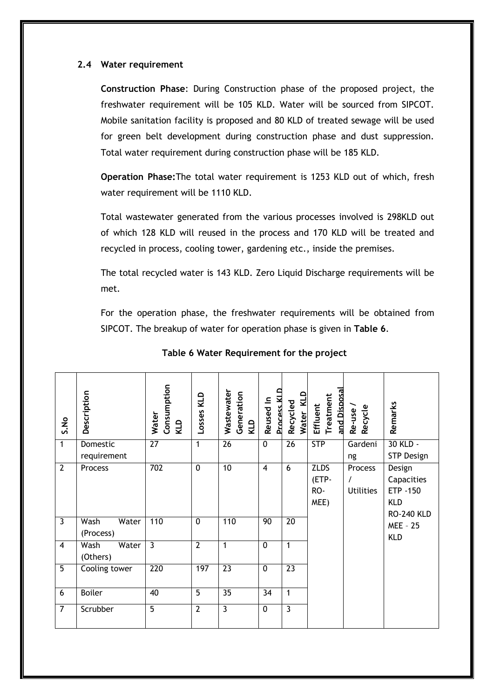#### **2.4 Water requirement**

**Construction Phase**: During Construction phase of the proposed project, the freshwater requirement will be 105 KLD. Water will be sourced from SIPCOT. Mobile sanitation facility is proposed and 80 KLD of treated sewage will be used for green belt development during construction phase and dust suppression. Total water requirement during construction phase will be 185 KLD.

**Operation Phase:**The total water requirement is 1253 KLD out of which, fresh water requirement will be 1110 KLD.

Total wastewater generated from the various processes involved is 298KLD out of which 128 KLD will reused in the process and 170 KLD will be treated and recycled in process, cooling tower, gardening etc., inside the premises.

The total recycled water is 143 KLD. Zero Liquid Discharge requirements will be met.

For the operation phase, the freshwater requirements will be obtained from SIPCOT. The breakup of water for operation phase is given in **Table 6**.

| S.No                    | Description                | Consumption<br>Water<br>KLD | Losses KLD     | Wastewater<br>Generation<br>KLD | Process KI<br>Reused In | Water KLD<br>Recycled | and Disposa<br>Treatment<br>Effluent | Recycle<br>Re-use                       | Remarks                                                             |
|-------------------------|----------------------------|-----------------------------|----------------|---------------------------------|-------------------------|-----------------------|--------------------------------------|-----------------------------------------|---------------------------------------------------------------------|
| $\overline{1}$          | Domestic<br>requirement    | $\overline{27}$             | $\overline{1}$ | $\overline{26}$                 | $\overline{0}$          | $\overline{26}$       | <b>STP</b>                           | Gardeni<br>ng                           | 30 KLD -<br><b>STP Design</b>                                       |
| $\overline{2}$          | Process                    | 702                         | $\overline{0}$ | $\overline{10}$                 | $\overline{4}$          | 6                     | <b>ZLDS</b><br>(ETP-<br>RO-<br>MEE)  | Process<br>$\prime$<br><b>Utilities</b> | Design<br>Capacities<br>ETP -150<br><b>KLD</b><br><b>RO-240 KLD</b> |
| $\overline{\mathbf{3}}$ | Wash<br>Water<br>(Process) | 110                         | $\mathbf 0$    | 110                             | 90                      | $\overline{20}$       |                                      |                                         | <b>MEE - 25</b><br><b>KLD</b>                                       |
| $\overline{4}$          | Wash<br>Water<br>(Others)  | $\overline{3}$              | $\overline{2}$ | $\mathbf{1}$                    | $\Omega$                | 1                     |                                      |                                         |                                                                     |
| $\overline{5}$          | Cooling tower              | 220                         | 197            | $\overline{23}$                 | $\overline{0}$          | $\overline{23}$       |                                      |                                         |                                                                     |
| 6                       | <b>Boiler</b>              | 40                          | $\overline{5}$ | $\overline{35}$                 | 34                      | 1                     |                                      |                                         |                                                                     |
| $\overline{7}$          | Scrubber                   | $\overline{5}$              | $\overline{2}$ | $\overline{3}$                  | $\mathbf{0}$            | 3                     |                                      |                                         |                                                                     |

#### **Table 6 Water Requirement for the project**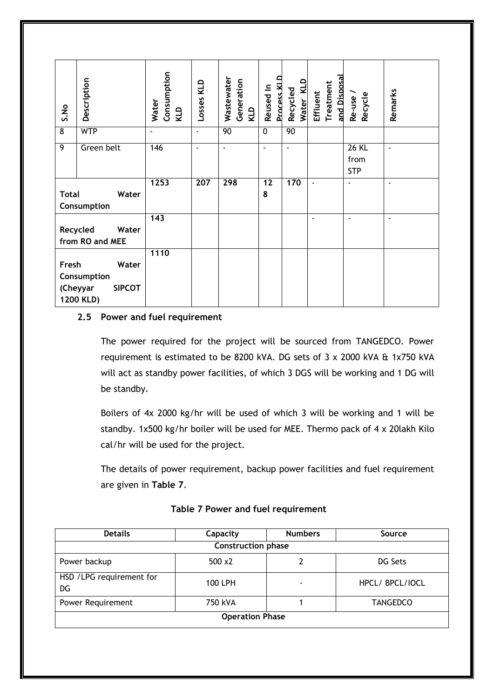| S.No           | Description                                                    | Consumption<br>Water<br>KLD | Losses KLD     | Wastewater<br>Generation<br>KLD | q<br><b>Process KI</b><br>Reused In | Water KLD<br>Recycled | and Disposa<br>Treatment<br>Effluent | Re-use/<br>Recycle                 | Remarks |
|----------------|----------------------------------------------------------------|-----------------------------|----------------|---------------------------------|-------------------------------------|-----------------------|--------------------------------------|------------------------------------|---------|
| $\overline{8}$ | <b>WTP</b>                                                     | $\blacksquare$              | $\blacksquare$ | 90                              | $\overline{0}$                      | 90                    |                                      |                                    |         |
| $\overline{9}$ | Green belt                                                     | 146                         |                |                                 |                                     | ÷,                    |                                      | <b>26 KL</b><br>from<br><b>STP</b> | ä,      |
| <b>Total</b>   | Water<br>Consumption                                           | 1253                        | 207            | 298                             | 12<br>8                             | 170                   | ä,                                   | ä,                                 | ٠       |
|                | Recycled<br>Water<br>from RO and MEE                           | 143                         |                |                                 |                                     |                       | $\blacksquare$                       | $\blacksquare$                     | ٠       |
| Fresh          | Water<br>Consumption<br><b>SIPCOT</b><br>(Cheyyar<br>1200 KLD) | 1110                        |                |                                 |                                     |                       |                                      |                                    |         |

#### **2.5 Power and fuel requirement**

The power required for the project will be sourced from TANGEDCO. Power requirement is estimated to be 8200 kVA. DG sets of 3 x 2000 kVA & 1x750 kVA will act as standby power facilities, of which 3 DGS will be working and 1 DG will be standby.

Boilers of 4x 2000 kg/hr will be used of which 3 will be working and 1 will be standby. 1x500 kg/hr boiler will be used for MEE. Thermo pack of 4 x 20lakh Kilo cal/hr will be used for the project.

The details of power requirement, backup power facilities and fuel requirement are given in **Table 7**.

| <b>Details</b>                  | Capacity       |   | Source          |  |  |  |  |  |  |  |
|---------------------------------|----------------|---|-----------------|--|--|--|--|--|--|--|
| <b>Construction phase</b>       |                |   |                 |  |  |  |  |  |  |  |
| Power backup                    | $500 \times 2$ |   | DG Sets         |  |  |  |  |  |  |  |
| HSD / LPG requirement for<br>DG | 100 LPH        | ٠ | HPCL/ BPCL/IOCL |  |  |  |  |  |  |  |
| Power Requirement               | 750 kVA        |   | <b>TANGEDCO</b> |  |  |  |  |  |  |  |
| <b>Operation Phase</b>          |                |   |                 |  |  |  |  |  |  |  |

**Table 7 Power and fuel requirement**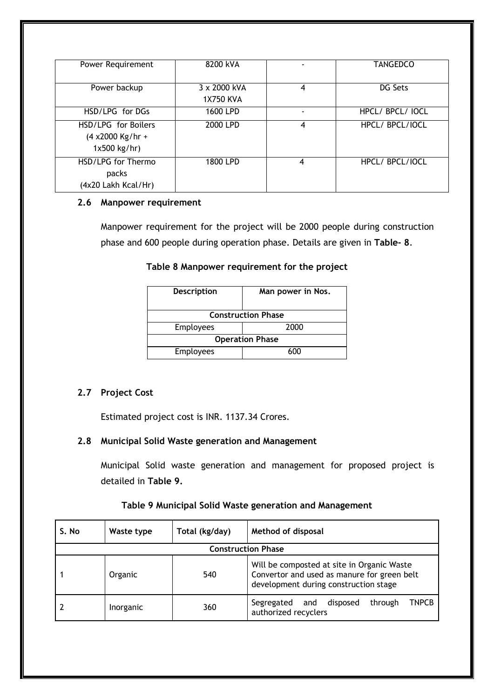| Power Requirement   | 8200 kVA         |   | TANGEDCO         |
|---------------------|------------------|---|------------------|
|                     |                  |   |                  |
| Power backup        | 3 x 2000 kVA     | 4 | DG Sets          |
|                     | <b>1X750 KVA</b> |   |                  |
|                     |                  |   |                  |
| HSD/LPG for DGs     | 1600 LPD         |   | HPCL/ BPCL/ IOCL |
| HSD/LPG for Boilers | 2000 LPD         | 4 | HPCL/BPCL/IOCL   |
| $(4 x2000$ Kg/hr +  |                  |   |                  |
|                     |                  |   |                  |
| $1x500$ kg/hr)      |                  |   |                  |
| HSD/LPG for Thermo  | 1800 LPD         | 4 | HPCL/BPCL/IOCL   |
| packs               |                  |   |                  |
|                     |                  |   |                  |
| (4x20 Lakh Kcal/Hr) |                  |   |                  |

#### **2.6 Manpower requirement**

Manpower requirement for the project will be 2000 people during construction phase and 600 people during operation phase. Details are given in **Table- 8**.

#### **Table 8 Manpower requirement for the project**

| <b>Description</b>        | Man power in Nos. |  |  |  |
|---------------------------|-------------------|--|--|--|
| <b>Construction Phase</b> |                   |  |  |  |
| <b>Employees</b>          | 2000              |  |  |  |
| <b>Operation Phase</b>    |                   |  |  |  |
| <b>Employees</b>          | 600               |  |  |  |

# **2.7 Project Cost**

Estimated project cost is INR. 1137.34 Crores.

# **2.8 Municipal Solid Waste generation and Management**

Municipal Solid waste generation and management for proposed project is detailed in **Table 9.**

# **Table 9 Municipal Solid Waste generation and Management**

| S. No                     | Waste type | Total (kg/day) | Method of disposal                                                                                                                 |  |  |  |
|---------------------------|------------|----------------|------------------------------------------------------------------------------------------------------------------------------------|--|--|--|
| <b>Construction Phase</b> |            |                |                                                                                                                                    |  |  |  |
|                           | Organic    | 540            | Will be composted at site in Organic Waste<br>Convertor and used as manure for green belt<br>development during construction stage |  |  |  |
|                           | Inorganic  | 360            | <b>TNPCB</b><br>disposed<br>Segregated<br>through<br>and<br>authorized recyclers                                                   |  |  |  |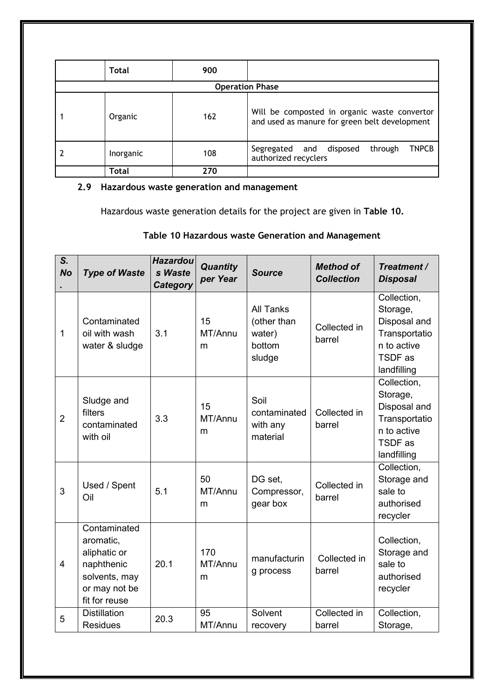| <b>Total</b> | 900                    |                                                                                               |
|--------------|------------------------|-----------------------------------------------------------------------------------------------|
|              | <b>Operation Phase</b> |                                                                                               |
| Organic      | 162                    | Will be composted in organic waste convertor<br>and used as manure for green belt development |
| Inorganic    | 108                    | <b>TNPCB</b><br>and disposed<br>through<br>Segregated<br>authorized recyclers                 |
| Total        | 270                    |                                                                                               |

# **2.9 Hazardous waste generation and management**

Hazardous waste generation details for the project are given in **Table 10.**

# **Table 10 Hazardous waste Generation and Management**

| S.<br><b>No</b> | <b>Type of Waste</b>                                                                                       | <b>Hazardou</b><br>s Waste<br><b>Category</b> | <b>Quantity</b><br>per Year | <b>Source</b>                                                 | <b>Method of</b><br><b>Collection</b> | Treatment /<br><b>Disposal</b>                                                                    |
|-----------------|------------------------------------------------------------------------------------------------------------|-----------------------------------------------|-----------------------------|---------------------------------------------------------------|---------------------------------------|---------------------------------------------------------------------------------------------------|
| 1               | Contaminated<br>oil with wash<br>water & sludge                                                            | 3.1                                           | 15<br>MT/Annu<br>m          | <b>All Tanks</b><br>(other than<br>water)<br>bottom<br>sludge | Collected in<br>barrel                | Collection,<br>Storage,<br>Disposal and<br>Transportatio<br>n to active<br>TSDF as<br>landfilling |
| $\overline{2}$  | Sludge and<br>filters<br>contaminated<br>with oil                                                          | 3.3                                           | 15<br>MT/Annu<br>m          | Soil<br>contaminated<br>with any<br>material                  | Collected in<br>barrel                | Collection,<br>Storage,<br>Disposal and<br>Transportatio<br>n to active<br>TSDF as<br>landfilling |
| 3               | Used / Spent<br>Oil                                                                                        | 5.1                                           | 50<br>MT/Annu<br>m          | DG set,<br>Compressor,<br>gear box                            | Collected in<br>barrel                | Collection,<br>Storage and<br>sale to<br>authorised<br>recycler                                   |
| $\overline{4}$  | Contaminated<br>aromatic,<br>aliphatic or<br>naphthenic<br>solvents, may<br>or may not be<br>fit for reuse | 20.1                                          | 170<br>MT/Annu<br>m         | manufacturin<br>g process                                     | Collected in<br>barrel                | Collection,<br>Storage and<br>sale to<br>authorised<br>recycler                                   |
| 5               | <b>Distillation</b><br><b>Residues</b>                                                                     | 20.3                                          | 95<br>MT/Annu               | Solvent<br>recovery                                           | Collected in<br>barrel                | Collection,<br>Storage,                                                                           |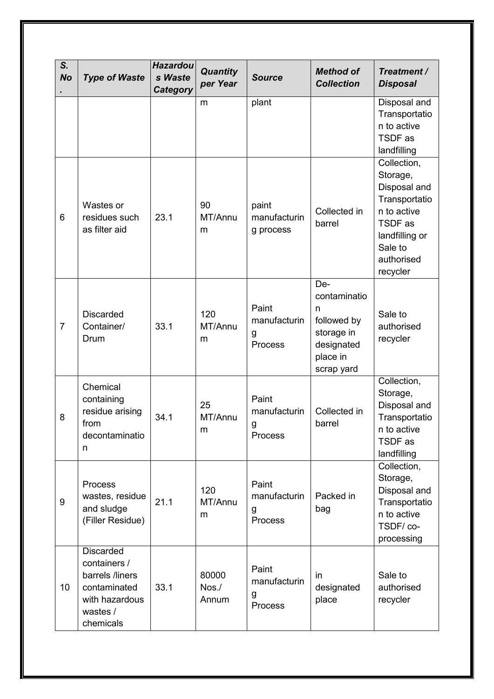| S.<br><b>No</b> | <b>Type of Waste</b>                                                                                           | <b>Hazardou</b><br>s Waste<br><b>Category</b> | <b>Quantity</b><br>per Year   | <b>Source</b>                                | <b>Method of</b><br><b>Collection</b>                                                         | Treatment /<br><b>Disposal</b>                                                                                                            |
|-----------------|----------------------------------------------------------------------------------------------------------------|-----------------------------------------------|-------------------------------|----------------------------------------------|-----------------------------------------------------------------------------------------------|-------------------------------------------------------------------------------------------------------------------------------------------|
|                 |                                                                                                                |                                               | m                             | plant                                        |                                                                                               | Disposal and<br>Transportatio<br>n to active<br>TSDF as<br>landfilling                                                                    |
| 6               | Wastes or<br>residues such<br>as filter aid                                                                    | 23.1                                          | 90<br>MT/Annu<br>m            | paint<br>manufacturin<br>g process           | Collected in<br>barrel                                                                        | Collection,<br>Storage,<br>Disposal and<br>Transportatio<br>n to active<br>TSDF as<br>landfilling or<br>Sale to<br>authorised<br>recycler |
| $\overline{7}$  | <b>Discarded</b><br>Container/<br>Drum                                                                         | 33.1                                          | 120<br>MT/Annu<br>m           | Paint<br>manufacturin<br>g<br><b>Process</b> | De-<br>contaminatio<br>n<br>followed by<br>storage in<br>designated<br>place in<br>scrap yard | Sale to<br>authorised<br>recycler                                                                                                         |
| 8               | Chemical<br>containing<br>residue arising<br>from<br>decontaminatio<br>n                                       | 34.1                                          | 25<br>MT/Annu<br>m            | Paint<br>manufacturin<br>g<br>Process        | Collected in<br>barrel                                                                        | Collection,<br>Storage,<br>Disposal and<br>Transportatio<br>n to active<br>TSDF as<br>landfilling                                         |
| 9               | Process<br>wastes, residue<br>and sludge<br>(Filler Residue)                                                   | 21.1                                          | 120<br>MT/Annu<br>m           | Paint<br>manufacturin<br>g<br><b>Process</b> | Packed in<br>bag                                                                              | Collection,<br>Storage,<br>Disposal and<br>Transportatio<br>n to active<br>TSDF/co-<br>processing                                         |
| 10              | <b>Discarded</b><br>containers /<br>barrels /liners<br>contaminated<br>with hazardous<br>wastes /<br>chemicals | 33.1                                          | 80000<br>$N$ os. $/$<br>Annum | Paint<br>manufacturin<br>g<br><b>Process</b> | in<br>designated<br>place                                                                     | Sale to<br>authorised<br>recycler                                                                                                         |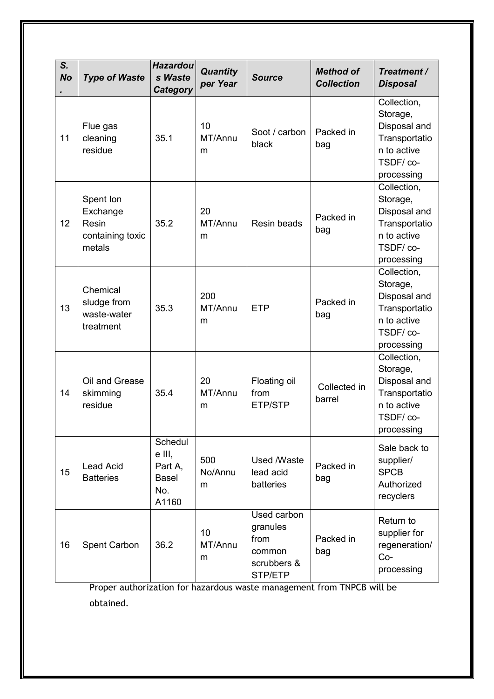| S.<br><b>No</b> | <b>Type of Waste</b>                                         | <b>Hazardou</b><br>s Waste<br>Category                       | <b>Quantity</b><br>per Year | <b>Source</b>                                                       | <b>Method of</b><br><b>Collection</b> | Treatment /<br><b>Disposal</b>                                                                    |
|-----------------|--------------------------------------------------------------|--------------------------------------------------------------|-----------------------------|---------------------------------------------------------------------|---------------------------------------|---------------------------------------------------------------------------------------------------|
| 11              | Flue gas<br>cleaning<br>residue                              | 35.1                                                         | 10<br>MT/Annu<br>m          | Soot / carbon<br>black                                              | Packed in<br>bag                      | Collection,<br>Storage,<br>Disposal and<br>Transportatio<br>n to active<br>TSDF/co-<br>processing |
| 12              | Spent Ion<br>Exchange<br>Resin<br>containing toxic<br>metals | 35.2                                                         | 20<br>MT/Annu<br>m          | Resin beads                                                         | Packed in<br>bag                      | Collection,<br>Storage,<br>Disposal and<br>Transportatio<br>n to active<br>TSDF/co-<br>processing |
| 13              | Chemical<br>sludge from<br>waste-water<br>treatment          | 35.3                                                         | 200<br>MT/Annu<br>m         | <b>ETP</b>                                                          | Packed in<br>bag                      | Collection,<br>Storage,<br>Disposal and<br>Transportatio<br>n to active<br>TSDF/co-<br>processing |
| 14              | Oil and Grease<br>skimming<br>residue                        | 35.4                                                         | 20<br>MT/Annu<br>m          | Floating oil<br>from<br>ETP/STP                                     | Collected in<br>barrel                | Collection,<br>Storage,<br>Disposal and<br>Transportatio<br>n to active<br>TSDF/co-<br>processing |
| 15              | <b>Lead Acid</b><br><b>Batteries</b>                         | Schedul<br>e III,<br>Part A,<br><b>Basel</b><br>No.<br>A1160 | 500<br>No/Annu<br>m         | Used /Waste<br>lead acid<br>batteries                               | Packed in<br>bag                      | Sale back to<br>supplier/<br><b>SPCB</b><br>Authorized<br>recyclers                               |
| 16              | <b>Spent Carbon</b>                                          | 36.2                                                         | 10<br>MT/Annu<br>m          | Used carbon<br>granules<br>from<br>common<br>scrubbers &<br>STP/ETP | Packed in<br>bag                      | Return to<br>supplier for<br>regeneration/<br>$Co-$<br>processing                                 |

Proper authorization for hazardous waste management from TNPCB will be obtained.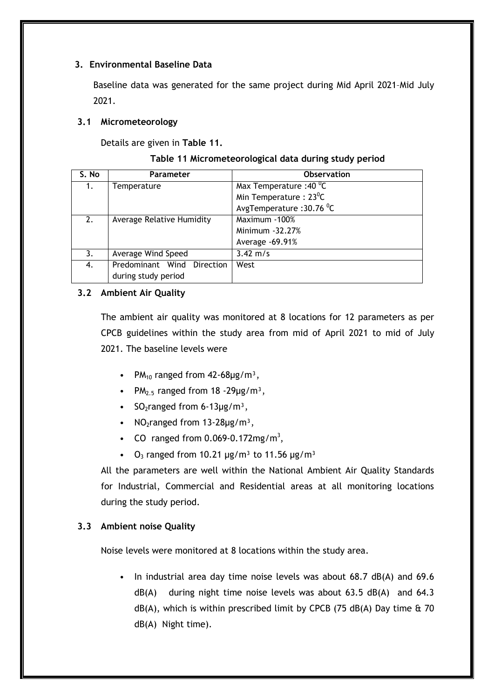#### **3. Environmental Baseline Data**

Baseline data was generated for the same project during Mid April 2021–Mid July 2021.

#### **3.1 Micrometeorology**

Details are given in **Table 11.** 

| S. No | <b>Parameter</b>           | <b>Observation</b>                  |
|-------|----------------------------|-------------------------------------|
| 1.    | Temperature                | Max Temperature : 40 <sup>0</sup> C |
|       |                            | Min Temperature: $23^0C$            |
|       |                            | AvgTemperature : 30.76 °C           |
| 2.    | Average Relative Humidity  | Maximum -100%                       |
|       |                            | Minimum - 32.27%                    |
|       |                            | Average -69.91%                     |
| 3.    | Average Wind Speed         | $3.42 \text{ m/s}$                  |
| 4.    | Predominant Wind Direction | West                                |
|       | during study period        |                                     |

#### **3.2 Ambient Air Quality**

The ambient air quality was monitored at 8 locations for 12 parameters as per CPCB guidelines within the study area from mid of April 2021 to mid of July 2021. The baseline levels were

- PM<sub>10</sub> ranged from  $42-68\mu g/m^3$ ,
- PM<sub>2.5</sub> ranged from  $18 29\mu g/m^3$ ,
- SO<sub>2</sub>ranged from 6-13 $\mu$ g/m<sup>3</sup>,
- NO<sub>2</sub>ranged from  $13-28\mu g/m^3$ ,
- CO ranged from  $0.069 0.172$  mg/m<sup>3</sup>,
- $Q_3$  ranged from 10.21  $\mu$ g/m<sup>3</sup> to 11.56  $\mu$ g/m<sup>3</sup>

All the parameters are well within the National Ambient Air Quality Standards for Industrial, Commercial and Residential areas at all monitoring locations during the study period.

# **3.3 Ambient noise Quality**

Noise levels were monitored at 8 locations within the study area.

• In industrial area day time noise levels was about 68.7 dB(A) and 69.6 dB(A) during night time noise levels was about 63.5 dB(A) and 64.3  $dB(A)$ , which is within prescribed limit by CPCB (75 dB(A) Day time  $\&$  70 dB(A) Night time).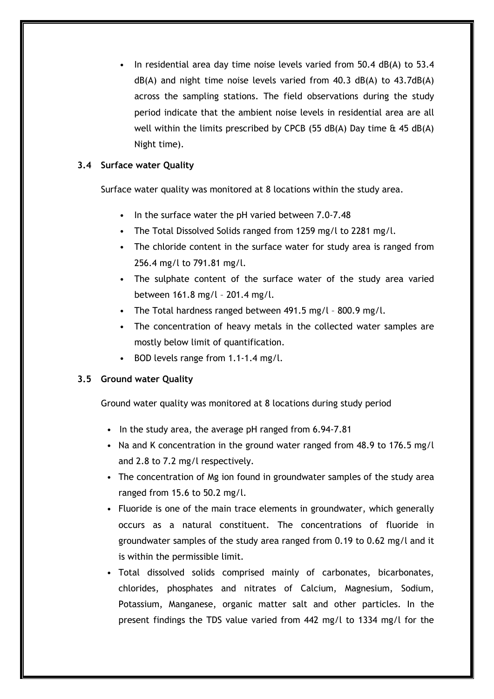In residential area day time noise levels varied from  $50.4$  dB(A) to  $53.4$ dB(A) and night time noise levels varied from 40.3 dB(A) to 43.7dB(A) across the sampling stations. The field observations during the study period indicate that the ambient noise levels in residential area are all well within the limits prescribed by CPCB (55 dB(A) Day time  $\hat{\alpha}$  45 dB(A) Night time).

# **3.4 Surface water Quality**

Surface water quality was monitored at 8 locations within the study area.

- In the surface water the pH varied between 7.0-7.48
- The Total Dissolved Solids ranged from 1259 mg/l to 2281 mg/l.
- The chloride content in the surface water for study area is ranged from 256.4 mg/l to 791.81 mg/l.
- The sulphate content of the surface water of the study area varied between 161.8 mg/l – 201.4 mg/l.
- The Total hardness ranged between 491.5 mg/l 800.9 mg/l.
- The concentration of heavy metals in the collected water samples are mostly below limit of quantification.
- BOD levels range from 1.1-1.4 mg/l.

#### **3.5 Ground water Quality**

Ground water quality was monitored at 8 locations during study period

- In the study area, the average pH ranged from 6.94-7.81
- Na and K concentration in the ground water ranged from 48.9 to 176.5 mg/l and 2.8 to 7.2 mg/l respectively.
- The concentration of Mg ion found in groundwater samples of the study area ranged from 15.6 to 50.2 mg/l.
- Fluoride is one of the main trace elements in groundwater, which generally occurs as a natural constituent. The concentrations of fluoride in groundwater samples of the study area ranged from 0.19 to 0.62 mg/l and it is within the permissible limit.
- Total dissolved solids comprised mainly of carbonates, bicarbonates, chlorides, phosphates and nitrates of Calcium, Magnesium, Sodium, Potassium, Manganese, organic matter salt and other particles. In the present findings the TDS value varied from 442 mg/l to 1334 mg/l for the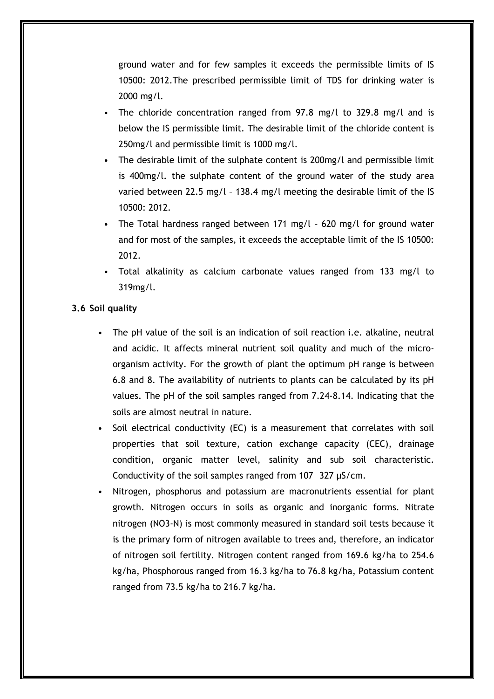ground water and for few samples it exceeds the permissible limits of IS 10500: 2012.The prescribed permissible limit of TDS for drinking water is 2000 mg/l.

- The chloride concentration ranged from 97.8 mg/l to 329.8 mg/l and is below the IS permissible limit. The desirable limit of the chloride content is 250mg/l and permissible limit is 1000 mg/l.
- The desirable limit of the sulphate content is 200mg/l and permissible limit is 400mg/l. the sulphate content of the ground water of the study area varied between 22.5 mg/l – 138.4 mg/l meeting the desirable limit of the IS 10500: 2012.
- The Total hardness ranged between 171 mg/l 620 mg/l for ground water and for most of the samples, it exceeds the acceptable limit of the IS 10500: 2012.
- Total alkalinity as calcium carbonate values ranged from 133 mg/l to 319mg/l.

#### **3.6 Soil quality**

- The pH value of the soil is an indication of soil reaction i.e. alkaline, neutral and acidic. It affects mineral nutrient soil quality and much of the microorganism activity. For the growth of plant the optimum pH range is between 6.8 and 8. The availability of nutrients to plants can be calculated by its pH values. The pH of the soil samples ranged from 7.24-8.14. Indicating that the soils are almost neutral in nature.
- Soil electrical conductivity (EC) is a measurement that correlates with soil properties that soil texture, cation exchange capacity (CEC), drainage condition, organic matter level, salinity and sub soil characteristic. Conductivity of the soil samples ranged from 107– 327 μS/cm.
- Nitrogen, phosphorus and potassium are macronutrients essential for plant growth. Nitrogen occurs in soils as organic and inorganic forms. Nitrate nitrogen (NO3-N) is most commonly measured in standard soil tests because it is the primary form of nitrogen available to trees and, therefore, an indicator of nitrogen soil fertility. Nitrogen content ranged from 169.6 kg/ha to 254.6 kg/ha, Phosphorous ranged from 16.3 kg/ha to 76.8 kg/ha, Potassium content ranged from 73.5 kg/ha to 216.7 kg/ha.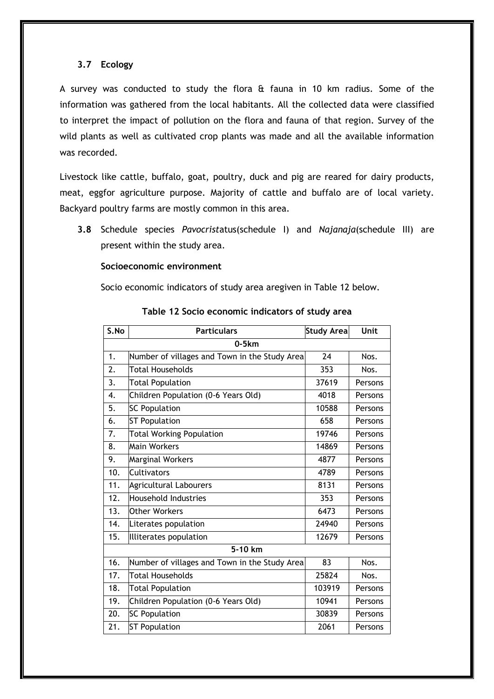#### **3.7 Ecology**

A survey was conducted to study the flora & fauna in 10 km radius. Some of the information was gathered from the local habitants. All the collected data were classified to interpret the impact of pollution on the flora and fauna of that region. Survey of the wild plants as well as cultivated crop plants was made and all the available information was recorded.

Livestock like cattle, buffalo, goat, poultry, duck and pig are reared for dairy products, meat, eggfor agriculture purpose. Majority of cattle and buffalo are of local variety. Backyard poultry farms are mostly common in this area.

**3.8** Schedule species *Pavocrist*atus(schedule I) and *Najanaja*(schedule III) are present within the study area.

#### **Socioeconomic environment**

Socio economic indicators of study area aregiven in Table 12 below.

| S.No | <b>Particulars</b>                            | <b>Study Area</b> | Unit    |  |  |  |
|------|-----------------------------------------------|-------------------|---------|--|--|--|
|      | $0-5km$                                       |                   |         |  |  |  |
| 1.   | Number of villages and Town in the Study Area | 24                | Nos.    |  |  |  |
| 2.   | <b>Total Households</b>                       | 353               | Nos.    |  |  |  |
| 3.   | <b>Total Population</b>                       | 37619             | Persons |  |  |  |
| 4.   | Children Population (0-6 Years Old)           | 4018              | Persons |  |  |  |
| 5.   | <b>SC Population</b>                          | 10588             | Persons |  |  |  |
| 6.   | <b>ST Population</b>                          | 658               | Persons |  |  |  |
| 7.   | <b>Total Working Population</b>               | 19746             | Persons |  |  |  |
| 8.   | <b>Main Workers</b>                           | 14869             | Persons |  |  |  |
| 9.   | Marginal Workers                              | 4877              | Persons |  |  |  |
| 10.  | Cultivators                                   | 4789              | Persons |  |  |  |
| 11.  | <b>Agricultural Labourers</b>                 | 8131              | Persons |  |  |  |
| 12.  | <b>Household Industries</b>                   | 353               | Persons |  |  |  |
| 13.  | <b>Other Workers</b>                          | 6473              | Persons |  |  |  |
| 14.  | Literates population                          | 24940             | Persons |  |  |  |
| 15.  | Illiterates population                        | 12679             | Persons |  |  |  |
|      | 5-10 km                                       |                   |         |  |  |  |
| 16.  | Number of villages and Town in the Study Area | 83                | Nos.    |  |  |  |
| 17.  | <b>Total Households</b>                       | 25824             | Nos.    |  |  |  |
| 18.  | <b>Total Population</b>                       | 103919            | Persons |  |  |  |
| 19.  | Children Population (0-6 Years Old)           | 10941             | Persons |  |  |  |
| 20.  | <b>SC Population</b>                          | 30839             | Persons |  |  |  |
| 21.  | <b>ST Population</b>                          | 2061              | Persons |  |  |  |

#### **Table 12 Socio economic indicators of study area**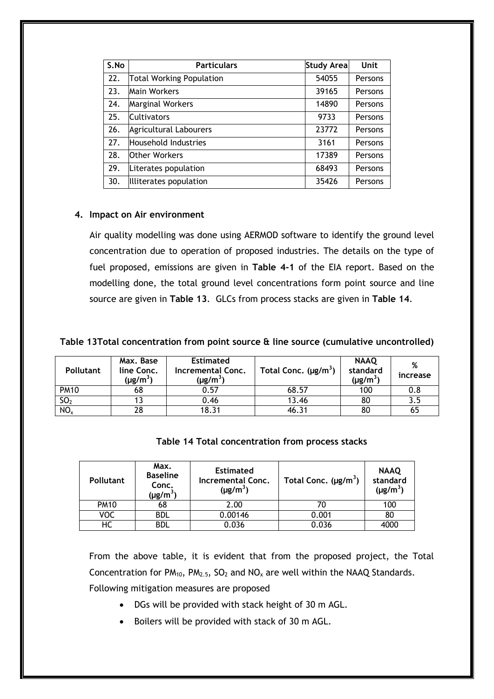| S.No | <b>Particulars</b>              | <b>Study Area</b> | Unit    |
|------|---------------------------------|-------------------|---------|
| 22.  | <b>Total Working Population</b> | 54055             | Persons |
| 23.  | <b>Main Workers</b>             | 39165             | Persons |
| 24.  | <b>Marginal Workers</b>         | 14890             | Persons |
| 25.  | <b>Cultivators</b>              | 9733              | Persons |
| 26.  | <b>Agricultural Labourers</b>   | 23772             | Persons |
| 27.  | Household Industries            | 3161              | Persons |
| 28.  | <b>Other Workers</b>            | 17389             | Persons |
| 29.  | Literates population            | 68493             | Persons |
| 30.  | Illiterates population          | 35426             | Persons |

#### **4. Impact on Air environment**

Air quality modelling was done using AERMOD software to identify the ground level concentration due to operation of proposed industries. The details on the type of fuel proposed, emissions are given in **Table 4-1** of the EIA report. Based on the modelling done, the total ground level concentrations form point source and line source are given in **Table 13**. GLCs from process stacks are given in **Table 14**.

#### **Table 13Total concentration from point source & line source (cumulative uncontrolled)**

| <b>Pollutant</b> | Max. Base<br>line Conc.<br>(µg/m $^3)$ | <b>Estimated</b><br>Incremental Conc.<br>(µg/m $^3)$ | Total Conc. $(\mu g/m^3)$ | <b>NAAQ</b><br>standard<br>$(\mu$ g/m <sup>3</sup> ) | %<br>increase |
|------------------|----------------------------------------|------------------------------------------------------|---------------------------|------------------------------------------------------|---------------|
| <b>PM10</b>      | 68                                     | 0.57                                                 | 68.57                     | 100                                                  | 0.8           |
| SO <sub>2</sub>  | 13                                     | 0.46                                                 | 13.46                     | 80                                                   | 3.5           |
| $NO_{x}$         | 28                                     | 18.31                                                | 46.31                     | 80                                                   | 65            |

# **Table 14 Total concentration from process stacks**

| <b>Pollutant</b> | Max.<br><b>Baseline</b><br>Conc.<br>(µg/m $^3)$ | <b>Estimated</b><br>Incremental Conc.<br>$(\mu g/m^3)$ | Total Conc. $(\mu g/m^3)$ | <b>NAAQ</b><br>standard<br>$(\mu g/m^3)$ |
|------------------|-------------------------------------------------|--------------------------------------------------------|---------------------------|------------------------------------------|
| <b>PM10</b>      | 68                                              | 2.00                                                   |                           | 100                                      |
| voc              | <b>BDL</b>                                      | 0.00146                                                | 0.001                     | 80                                       |
| нс               | bdl                                             | 0.036                                                  | 0.036                     | 4000                                     |

From the above table, it is evident that from the proposed project, the Total Concentration for  $PM_{10}$ ,  $PM_{2.5}$ ,  $SO_2$  and  $NO_x$  are well within the NAAQ Standards. Following mitigation measures are proposed

- DGs will be provided with stack height of 30 m AGL.
- Boilers will be provided with stack of 30 m AGL.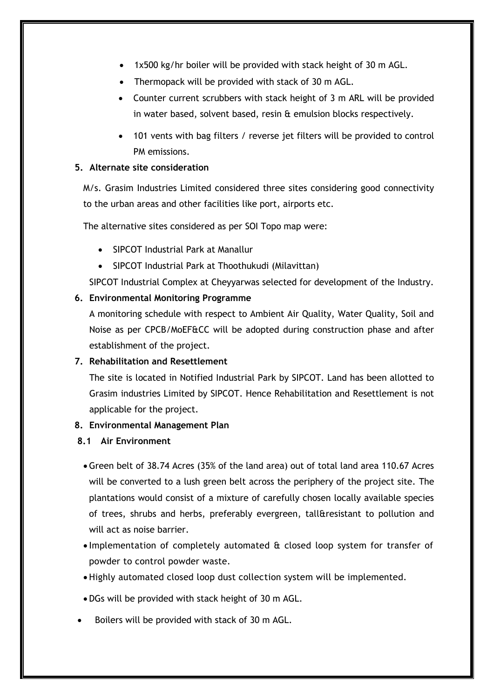- 1x500 kg/hr boiler will be provided with stack height of 30 m AGL.
- Thermopack will be provided with stack of 30 m AGL.
- Counter current scrubbers with stack height of 3 m ARL will be provided in water based, solvent based, resin & emulsion blocks respectively.
- 101 vents with bag filters / reverse jet filters will be provided to control PM emissions.

#### **5. Alternate site consideration**

M/s. Grasim Industries Limited considered three sites considering good connectivity to the urban areas and other facilities like port, airports etc.

The alternative sites considered as per SOI Topo map were:

- SIPCOT Industrial Park at Manallur
- SIPCOT Industrial Park at Thoothukudi (Milavittan)

SIPCOT Industrial Complex at Cheyyarwas selected for development of the Industry.

# **6. Environmental Monitoring Programme**

A monitoring schedule with respect to Ambient Air Quality, Water Quality, Soil and Noise as per CPCB/MoEF&CC will be adopted during construction phase and after establishment of the project.

# **7. Rehabilitation and Resettlement**

The site is located in Notified Industrial Park by SIPCOT. Land has been allotted to Grasim industries Limited by SIPCOT. Hence Rehabilitation and Resettlement is not applicable for the project.

# **8. Environmental Management Plan**

# **8.1 Air Environment**

- Green belt of 38.74 Acres (35% of the land area) out of total land area 110.67 Acres will be converted to a lush green belt across the periphery of the project site. The plantations would consist of a mixture of carefully chosen locally available species of trees, shrubs and herbs, preferably evergreen, tall&resistant to pollution and will act as noise barrier.
- Implementation of completely automated & closed loop system for transfer of powder to control powder waste.
- Highly automated closed loop dust collection system will be implemented.
- DGs will be provided with stack height of 30 m AGL.
- Boilers will be provided with stack of 30 m AGL.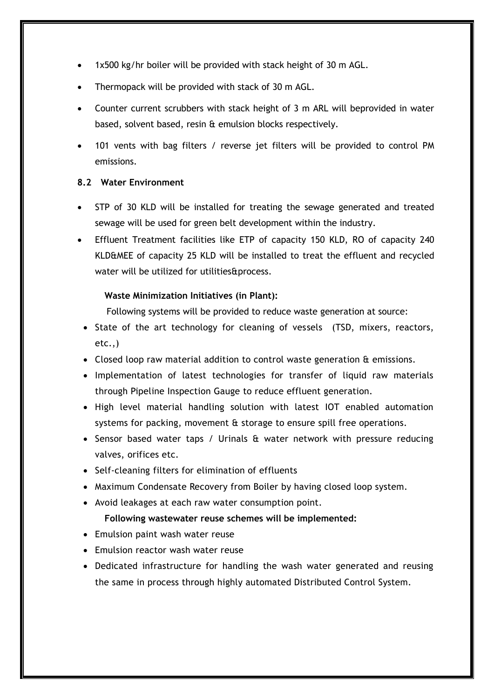- 1x500 kg/hr boiler will be provided with stack height of 30 m AGL.
- Thermopack will be provided with stack of 30 m AGL.
- Counter current scrubbers with stack height of 3 m ARL will beprovided in water based, solvent based, resin & emulsion blocks respectively.
- 101 vents with bag filters / reverse jet filters will be provided to control PM emissions.

#### **8.2 Water Environment**

- STP of 30 KLD will be installed for treating the sewage generated and treated sewage will be used for green belt development within the industry.
- Effluent Treatment facilities like ETP of capacity 150 KLD, RO of capacity 240 KLD&MEE of capacity 25 KLD will be installed to treat the effluent and recycled water will be utilized for utilities&process.

#### **Waste Minimization Initiatives (in Plant):**

Following systems will be provided to reduce waste generation at source:

- State of the art technology for cleaning of vessels (TSD, mixers, reactors, etc.,)
- Closed loop raw material addition to control waste generation & emissions.
- Implementation of latest technologies for transfer of liquid raw materials through Pipeline Inspection Gauge to reduce effluent generation.
- High level material handling solution with latest IOT enabled automation systems for packing, movement & storage to ensure spill free operations.
- Sensor based water taps / Urinals & water network with pressure reducing valves, orifices etc.
- Self-cleaning filters for elimination of effluents
- Maximum Condensate Recovery from Boiler by having closed loop system.
- Avoid leakages at each raw water consumption point.

#### **Following wastewater reuse schemes will be implemented:**

- Emulsion paint wash water reuse
- Emulsion reactor wash water reuse
- Dedicated infrastructure for handling the wash water generated and reusing the same in process through highly automated Distributed Control System.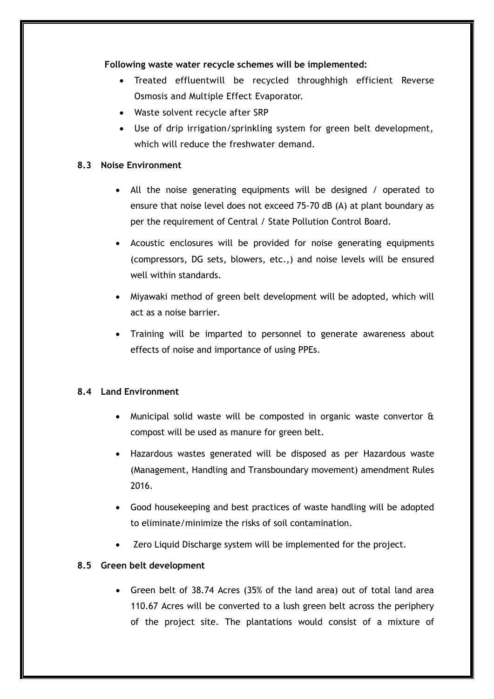#### **Following waste water recycle schemes will be implemented:**

- Treated effluentwill be recycled throughhigh efficient Reverse Osmosis and Multiple Effect Evaporator.
- Waste solvent recycle after SRP
- Use of drip irrigation/sprinkling system for green belt development, which will reduce the freshwater demand.

# **8.3 Noise Environment**

- All the noise generating equipments will be designed / operated to ensure that noise level does not exceed 75-70 dB (A) at plant boundary as per the requirement of Central / State Pollution Control Board.
- Acoustic enclosures will be provided for noise generating equipments (compressors, DG sets, blowers, etc.,) and noise levels will be ensured well within standards.
- Miyawaki method of green belt development will be adopted, which will act as a noise barrier.
- Training will be imparted to personnel to generate awareness about effects of noise and importance of using PPEs.

# **8.4 Land Environment**

- Municipal solid waste will be composted in organic waste convertor  $\hat{a}$ compost will be used as manure for green belt.
- Hazardous wastes generated will be disposed as per Hazardous waste (Management, Handling and Transboundary movement) amendment Rules 2016.
- Good housekeeping and best practices of waste handling will be adopted to eliminate/minimize the risks of soil contamination.
- Zero Liquid Discharge system will be implemented for the project.

# **8.5 Green belt development**

 Green belt of 38.74 Acres (35% of the land area) out of total land area 110.67 Acres will be converted to a lush green belt across the periphery of the project site. The plantations would consist of a mixture of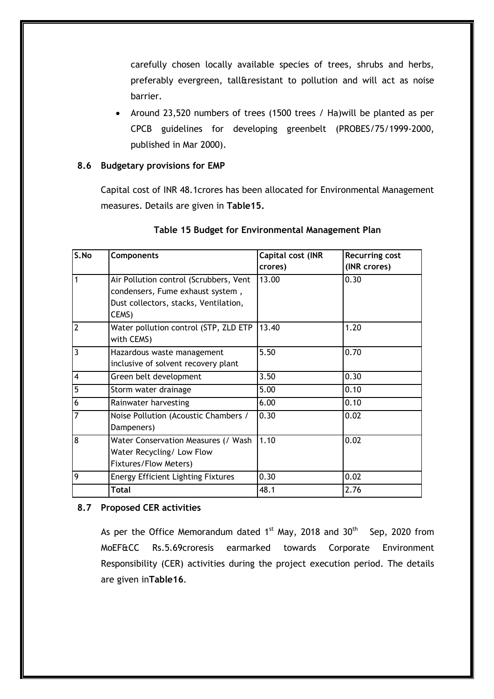carefully chosen locally available species of trees, shrubs and herbs, preferably evergreen, tall&resistant to pollution and will act as noise barrier.

• Around 23,520 numbers of trees (1500 trees / Ha) will be planted as per CPCB guidelines for developing greenbelt (PROBES/75/1999-2000, published in Mar 2000).

#### **8.6 Budgetary provisions for EMP**

Capital cost of INR 48.1crores has been allocated for Environmental Management measures. Details are given in **Table15.** 

| S.No           | <b>Components</b>                         | Capital cost (INR | <b>Recurring cost</b> |
|----------------|-------------------------------------------|-------------------|-----------------------|
|                |                                           | crores)           | (INR crores)          |
| 1              | Air Pollution control (Scrubbers, Vent    | 13.00             | 0.30                  |
|                | condensers, Fume exhaust system,          |                   |                       |
|                | Dust collectors, stacks, Ventilation,     |                   |                       |
|                | CEMS)                                     |                   |                       |
| $\overline{2}$ | Water pollution control (STP, ZLD ETP     | 13.40             | 1.20                  |
|                | with CEMS)                                |                   |                       |
| $\overline{3}$ | Hazardous waste management                | 5.50              | 0.70                  |
|                | inclusive of solvent recovery plant       |                   |                       |
| $\overline{4}$ | Green belt development                    | 3.50              | 0.30                  |
| 5              | Storm water drainage                      | 5.00              | 0.10                  |
| 6              | Rainwater harvesting                      | 6.00              | 0.10                  |
| $\overline{7}$ | Noise Pollution (Acoustic Chambers /      | 0.30              | 0.02                  |
|                | Dampeners)                                |                   |                       |
| 8              | Water Conservation Measures (/ Wash       | 1.10              | 0.02                  |
|                | Water Recycling/ Low Flow                 |                   |                       |
|                | Fixtures/Flow Meters)                     |                   |                       |
| 9              | <b>Energy Efficient Lighting Fixtures</b> | 0.30              | 0.02                  |
|                | Total                                     | 48.1              | 2.76                  |

# **Table 15 Budget for Environmental Management Plan**

# **8.7 Proposed CER activities**

As per the Office Memorandum dated  $1^{st}$  May, 2018 and 30<sup>th</sup> Sep, 2020 from MoEF&CC Rs.5.69croresis earmarked towards Corporate Environment Responsibility (CER) activities during the project execution period. The details are given in**Table16**.